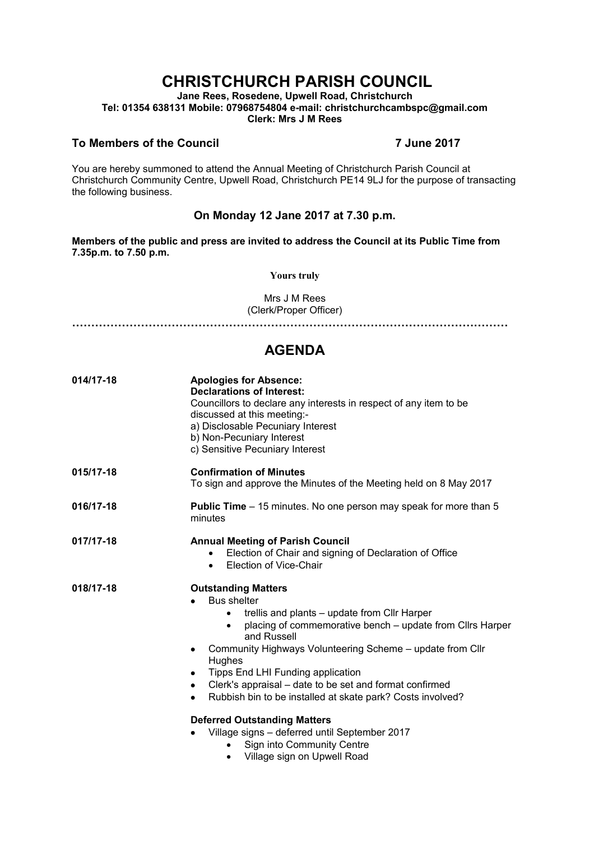# **CHRISTCHURCH PARISH COUNCIL**

**Jane Rees, Rosedene, Upwell Road, Christchurch Tel: 01354 638131 Mobile: 07968754804 e-mail: christchurchcambspc@gmail.com Clerk: Mrs J M Rees**

### **To Members of the Council 7 June 2017**

You are hereby summoned to attend the Annual Meeting of Christchurch Parish Council at Christchurch Community Centre, Upwell Road, Christchurch PE14 9LJ for the purpose of transacting the following business.

### **On Monday 12 Jane 2017 at 7.30 p.m.**

**Members of the public and press are invited to address the Council at its Public Time from 7.35p.m. to 7.50 p.m.** 

**Yours truly**

Mrs J M Rees (Clerk/Proper Officer)

**……………………………………………………………………………………………………**

## **AGENDA**

| 014/17-18 | <b>Apologies for Absence:</b><br><b>Declarations of Interest:</b><br>Councillors to declare any interests in respect of any item to be<br>discussed at this meeting:-<br>a) Disclosable Pecuniary Interest<br>b) Non-Pecuniary Interest<br>c) Sensitive Pecuniary Interest                                                                                                                                                                                                                                                                                                                                                           |
|-----------|--------------------------------------------------------------------------------------------------------------------------------------------------------------------------------------------------------------------------------------------------------------------------------------------------------------------------------------------------------------------------------------------------------------------------------------------------------------------------------------------------------------------------------------------------------------------------------------------------------------------------------------|
| 015/17-18 | <b>Confirmation of Minutes</b><br>To sign and approve the Minutes of the Meeting held on 8 May 2017                                                                                                                                                                                                                                                                                                                                                                                                                                                                                                                                  |
| 016/17-18 | <b>Public Time</b> – 15 minutes. No one person may speak for more than 5<br>minutes                                                                                                                                                                                                                                                                                                                                                                                                                                                                                                                                                  |
| 017/17-18 | <b>Annual Meeting of Parish Council</b><br>Election of Chair and signing of Declaration of Office<br>Election of Vice-Chair<br>$\bullet$                                                                                                                                                                                                                                                                                                                                                                                                                                                                                             |
| 018/17-18 | <b>Outstanding Matters</b><br><b>Bus shelter</b><br>trellis and plants - update from Cllr Harper<br>$\bullet$<br>placing of commemorative bench - update from Cllrs Harper<br>$\bullet$<br>and Russell<br>Community Highways Volunteering Scheme - update from Cllr<br>Hughes<br>Tipps End LHI Funding application<br>٠<br>Clerk's appraisal - date to be set and format confirmed<br>$\bullet$<br>Rubbish bin to be installed at skate park? Costs involved?<br>٠<br><b>Deferred Outstanding Matters</b><br>Village signs - deferred until September 2017<br>Sign into Community Centre<br>Village sign on Upwell Road<br>$\bullet$ |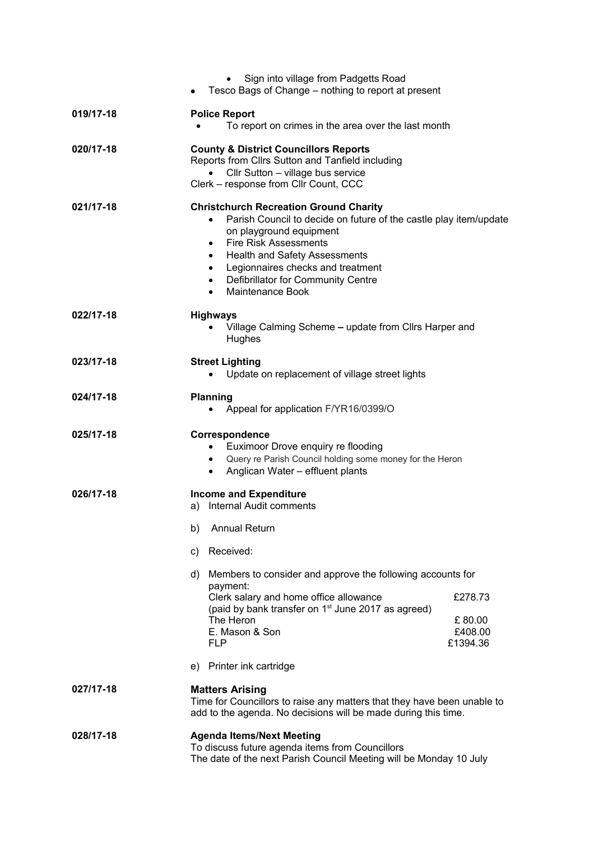|           | Sign into village from Padgetts Road<br>Tesco Bags of Change – nothing to report at present                                                                                                                                                                                                                                                                                                        |
|-----------|----------------------------------------------------------------------------------------------------------------------------------------------------------------------------------------------------------------------------------------------------------------------------------------------------------------------------------------------------------------------------------------------------|
| 019/17-18 | <b>Police Report</b><br>To report on crimes in the area over the last month                                                                                                                                                                                                                                                                                                                        |
| 020/17-18 | <b>County &amp; District Councillors Reports</b><br>Reports from Cllrs Sutton and Tanfield including<br>Cllr Sutton - village bus service<br>Clerk - response from Cllr Count, CCC                                                                                                                                                                                                                 |
| 021/17-18 | <b>Christchurch Recreation Ground Charity</b><br>Parish Council to decide on future of the castle play item/update<br>$\bullet$<br>on playground equipment<br><b>Fire Risk Assessments</b><br>$\bullet$<br><b>Health and Safety Assessments</b><br>$\bullet$<br>Legionnaires checks and treatment<br>$\bullet$<br>Defibrillator for Community Centre<br>$\bullet$<br>Maintenance Book<br>$\bullet$ |
| 022/17-18 | <b>Highways</b><br>Village Calming Scheme - update from Cllrs Harper and<br>$\bullet$<br>Hughes                                                                                                                                                                                                                                                                                                    |
| 023/17-18 | <b>Street Lighting</b><br>Update on replacement of village street lights<br>$\bullet$                                                                                                                                                                                                                                                                                                              |
| 024/17-18 | <b>Planning</b><br>Appeal for application F/YR16/0399/O                                                                                                                                                                                                                                                                                                                                            |
| 025/17-18 | Correspondence<br>Euximoor Drove enquiry re flooding<br>$\bullet$<br>Query re Parish Council holding some money for the Heron<br>$\bullet$<br>Anglican Water - effluent plants<br>$\bullet$                                                                                                                                                                                                        |
| 026/17-18 | <b>Income and Expenditure</b><br>a) Internal Audit comments                                                                                                                                                                                                                                                                                                                                        |
|           | <b>Annual Return</b><br>b)                                                                                                                                                                                                                                                                                                                                                                         |
|           | c) Received:                                                                                                                                                                                                                                                                                                                                                                                       |
|           | d) Members to consider and approve the following accounts for<br>payment:                                                                                                                                                                                                                                                                                                                          |
|           | Clerk salary and home office allowance<br>£278.73<br>(paid by bank transfer on 1 <sup>st</sup> June 2017 as agreed)<br>The Heron<br>£80.00<br>E. Mason & Son<br>£408.00<br><b>FLP</b><br>£1394.36                                                                                                                                                                                                  |
|           | e) Printer ink cartridge                                                                                                                                                                                                                                                                                                                                                                           |
| 027/17-18 | <b>Matters Arising</b><br>Time for Councillors to raise any matters that they have been unable to<br>add to the agenda. No decisions will be made during this time.                                                                                                                                                                                                                                |
| 028/17-18 | <b>Agenda Items/Next Meeting</b><br>To discuss future agenda items from Councillors<br>The date of the next Parish Council Meeting will be Monday 10 July                                                                                                                                                                                                                                          |